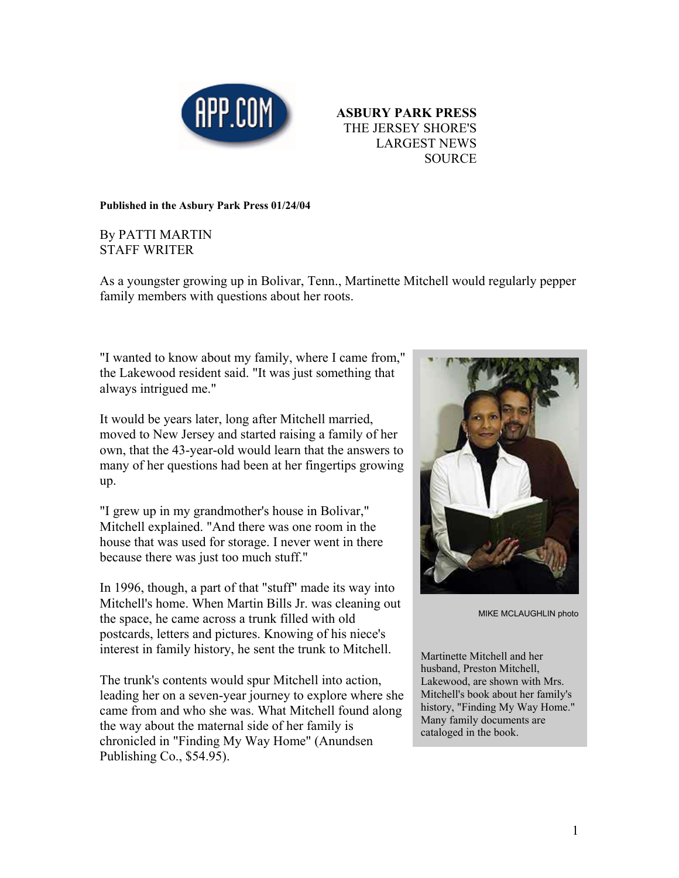



**Published in the Asbury Park Press 01/24/04** 

## By PATTI MARTIN STAFF WRITER

As a youngster growing up in Bolivar, Tenn., Martinette Mitchell would regularly pepper family members with questions about her roots.

"I wanted to know about my family, where I came from," the Lakewood resident said. "It was just something that always intrigued me."

It would be years later, long after Mitchell married, moved to New Jersey and started raising a family of her own, that the 43-year-old would learn that the answers to many of her questions had been at her fingertips growing up.

"I grew up in my grandmother's house in Bolivar," Mitchell explained. "And there was one room in the house that was used for storage. I never went in there because there was just too much stuff."

In 1996, though, a part of that "stuff" made its way into Mitchell's home. When Martin Bills Jr. was cleaning out the space, he came across a trunk filled with old postcards, letters and pictures. Knowing of his niece's interest in family history, he sent the trunk to Mitchell.

The trunk's contents would spur Mitchell into action, leading her on a seven-year journey to explore where she came from and who she was. What Mitchell found along the way about the maternal side of her family is chronicled in "Finding My Way Home" (Anundsen Publishing Co., \$54.95).



MIKE MCLAUGHLIN photo

Martinette Mitchell and her husband, Preston Mitchell, Lakewood, are shown with Mrs. Mitchell's book about her family's history, "Finding My Way Home." Many family documents are cataloged in the book.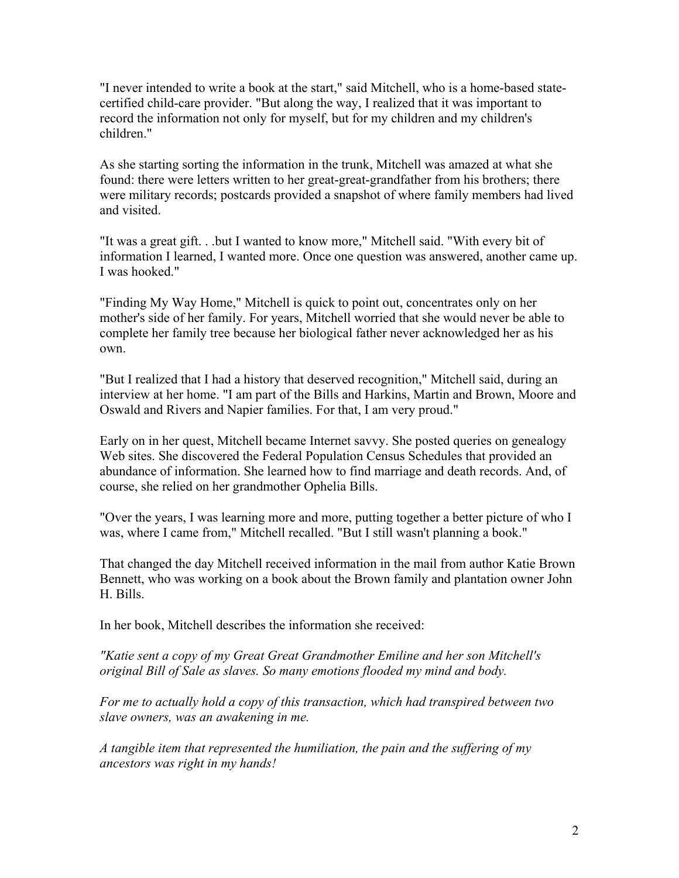"I never intended to write a book at the start," said Mitchell, who is a home-based statecertified child-care provider. "But along the way, I realized that it was important to record the information not only for myself, but for my children and my children's children."

As she starting sorting the information in the trunk, Mitchell was amazed at what she found: there were letters written to her great-great-grandfather from his brothers; there were military records; postcards provided a snapshot of where family members had lived and visited.

"It was a great gift. . .but I wanted to know more," Mitchell said. "With every bit of information I learned, I wanted more. Once one question was answered, another came up. I was hooked."

"Finding My Way Home," Mitchell is quick to point out, concentrates only on her mother's side of her family. For years, Mitchell worried that she would never be able to complete her family tree because her biological father never acknowledged her as his own.

"But I realized that I had a history that deserved recognition," Mitchell said, during an interview at her home. "I am part of the Bills and Harkins, Martin and Brown, Moore and Oswald and Rivers and Napier families. For that, I am very proud."

Early on in her quest, Mitchell became Internet savvy. She posted queries on genealogy Web sites. She discovered the Federal Population Census Schedules that provided an abundance of information. She learned how to find marriage and death records. And, of course, she relied on her grandmother Ophelia Bills.

"Over the years, I was learning more and more, putting together a better picture of who I was, where I came from," Mitchell recalled. "But I still wasn't planning a book."

That changed the day Mitchell received information in the mail from author Katie Brown Bennett, who was working on a book about the Brown family and plantation owner John H. Bills.

In her book, Mitchell describes the information she received:

*"Katie sent a copy of my Great Great Grandmother Emiline and her son Mitchell's original Bill of Sale as slaves. So many emotions flooded my mind and body.* 

*For me to actually hold a copy of this transaction, which had transpired between two slave owners, was an awakening in me.* 

*A tangible item that represented the humiliation, the pain and the suffering of my ancestors was right in my hands!*